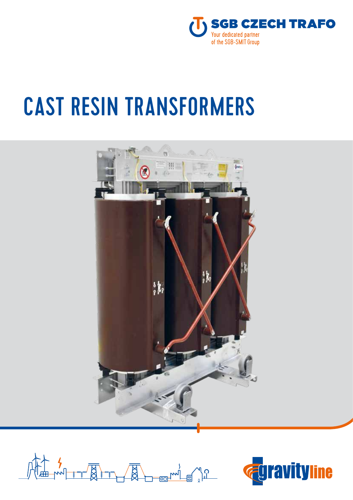

# CAST RESIN TRANSFORMERS





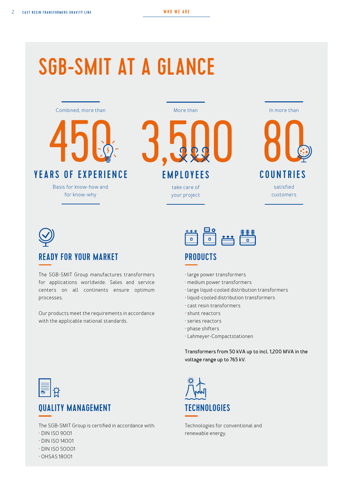# SGB-SMIT AT A GLANCE





## READY FOR YOUR MARKET

The SGB-SMIT Group manufactures transformers for applications worldwide. Sales and service centers on all continents ensure optimum processes.

Our products meet the requirements in accordance with the applicable national standards.



## **PRODUCTS**

- large power transformers
- medium power transformers
- large liquid-cooled distribution transformers
- liquid-cooled distribution transformers
- cast resin transformers
- shunt reactors
- series reactors
- phase shifters
- Lahmeyer-Compactstationen

**Transformers from 50 kVA up to incl. 1,200 MVA in the voltage range up to 765 kV.**



Technologies for conventional and renewable energy.



## **OUALITY MANAGEMENT TECHNOLOGIES**

The SGB-SMIT Group is certified in accordance with:

- DIN ISO 9001
- DIN ISO 14001
- DIN ISO 50001
- OHSAS 18001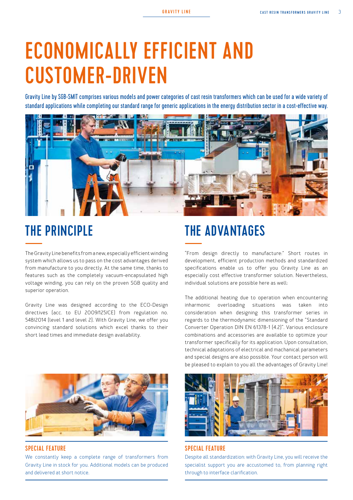# ECONOMICALLY EFFICIENT AND CUSTOMER-DRIVEN

Gravity Line by SGB-SMIT comprises various models and power categories of cast resin transformers which can be used for a wide variety of standard applications while completing our standard range for generic applications in the energy distribution sector in a cost-effective way.



The Gravity Line benefits from a new, especially efficient winding system which allows us to pass on the cost advantages derived from manufacture to you directly. At the same time, thanks to features such as the completely vacuum-encapsulated high voltage winding, you can rely on the proven SGB quality and superior operation.

Gravity Line was designed according to the ECO-Design directives (acc. to EU 2009/125/CE) from regulation no. 548/2014 (level 1 and level 2). With Gravity Line, we offer you convincing standard solutions which excel thanks to their short lead times and immediate design availability.



#### SPECIAL FEATURE SPECIAL FEATURE SPECIAL FEATURE

We constantly keep a complete range of transformers from Gravity Line in stock for you. Additional models can be produced and delivered at short notice.

# THE PRINCIPLE THE ADVANTAGES

"From design directly to manufacture:" Short routes in development, efficient production methods and standardized specifications enable us to offer you Gravity Line as an especially cost effective transformer solution. Nevertheless, individual solutions are possible here as well:

The additional heating due to operation when encountering inharmonic overloading situations was taken into consideration when designing this transformer series in regards to the thermodynamic dimensioning of the "Standard Converter Operation DIN EN 61378-1 (4.2)". Various enclosure combinations and accessories are available to optimize your transformer specifically for its application. Upon consultation, technical adaptations of electrical and machanical parameters and special designs are also possible. Your contact person will be pleased to explain to you all the advantages of Gravity Line!



Despite all standardization: with Gravity Line, you will receive the specialist support you are accustomed to, from planning right through to interface clarification.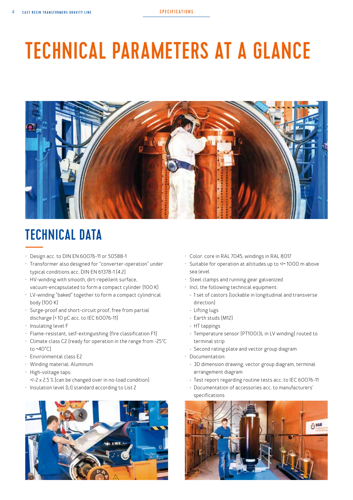# TECHNICAL PARAMETERS AT A GLANCE



# TECHNICAL DATA

- Design acc. to DIN EN 60076-11 or 50588-1
- Transformer also designed for "converter-operation" under typical conditions acc. DIN EN 61378-1 (4.2)
- HV-winding with smooth, dirt-repellent surface, vacuum-encapsulated to form a compact cylinder (100 K)
- LV-winding "baked" together to form a compact cylindrical body (100 K)
- Surge-proof and short-circuit proof, free from partial discharge (< 10 pC acc. to IEC 60076-11)
- Insulating level F
- Flame-resistant, self-extinguishing (fire classification F1)
- Climate class C2 (ready for operation in the range from -25°C  $t \cap 40^{\circ}$ C
- Environmental class E2
- Winding material: Aluminum
- High-voltage taps:
	- +/-2 x 2.5 % (can be changed over in no-load condition)
- Insulation level (LI) standard according to List 2



- Color: core in RAL 7045; windings in RAL 8017
- Suitable for operation at altitudes up to </></>/> 1000 m above sea level
- Steel clamps and running gear galvanized
- Incl. the following technical equipment:
	- 1 set of castors (lockable in longitudinal and transverse direction)
	- Lifting lugs
	- Earth studs (M12)
	- HT tappings
	- Temperature sensor (PT100/3L in LV winding) routed to terminal strip
	- Second rating plate and vector group diagram
- Documentation:
- 3D dimension drawing, vector group diagram, terminal arrangement diagram
- Test report regarding routine tests acc. to IEC 60076-11
- Documentation of accessories acc. to manufacturers' specifications

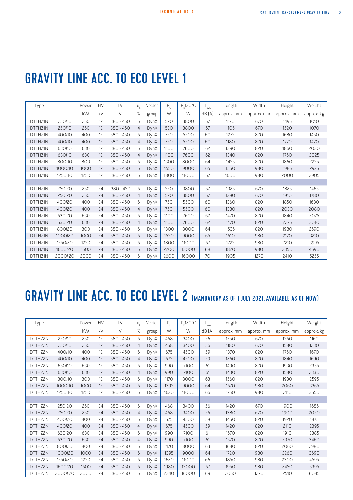# GRAVITY LINE ACC. TO ECO LEVEL 1

| Type    |         | Power      | <b>HV</b> | LV          | $U_{k}$        | Vector | $\mathsf{P}_\mathrm{0}$ | $P_{L}$ 120°C | WA-   | Length     | Width      | Height     | Weight     |
|---------|---------|------------|-----------|-------------|----------------|--------|-------------------------|---------------|-------|------------|------------|------------|------------|
|         |         | <b>kVA</b> | kV        | V           | %              | group  | W                       | W             | dB(A) | approx. mm | approx. mm | approx. mm | approx. kg |
| DTTHZ1N | 250/10  | 250        | 12        | $380 - 450$ | 6              | DynX   | 520                     | 3800          | 57    | 1170       | 670        | 1495       | 1010       |
| DTTHZ1N | 250/10  | 250        | 12        | $380 - 450$ | $\overline{4}$ | DynX   | 520                     | 3800          | 57    | 1105       | 670        | 1520       | 1070       |
| DTTHZ1N | 400/10  | 400        | 12        | $380 - 450$ | 6              | DynX   | 750                     | 5500          | 60    | 1275       | 820        | 1680       | 1450       |
| DTTHZ1N | 400/10  | 400        | 12        | $380 - 450$ | $\overline{4}$ | DynX   | 750                     | 5500          | 60    | 1180       | 820        | 1770       | 1470       |
| DTTHZ1N | 630/10  | 630        | 12        | $380 - 450$ | 6              | DynX   | 1100                    | 7600          | 62    | 1390       | 820        | 1860       | 2030       |
| DTTHZ1N | 630/10  | 630        | 12        | $380 - 450$ | $\overline{4}$ | DynX   | 1100                    | 7600          | 62    | 1340       | 820        | 1750       | 2025       |
| DTTHZ1N | 800/10  | 800        | 12        | $380 - 450$ | 6              | DynX   | 1300                    | 8000          | 64    | 1455       | 820        | 1860       | 2255       |
| DTTHZ1N | 1000/10 | 1000       | 12        | $380 - 450$ | 6              | DynX   | 1550                    | 9000          | 65    | 1560       | 980        | 1985       | 2925       |
| DTTHZ1N | 1250/10 | 1250       | 12        | $380 - 450$ | 6              | DynX   | 1800                    | 11000         | 67    | 1600       | 980        | 2000       | 2905       |
|         |         |            |           |             |                |        |                         |               |       |            |            |            |            |
| DTTHZ1N | 250/20  | 250        | 24        | $380 - 450$ | 6              | DynX   | 520                     | 3800          | 57    | 1325       | 670        | 1825       | 1465       |
| DTTHZ1N | 250/20  | 250        | 24        | $380 - 450$ | $\overline{4}$ | DynX   | 520                     | 3800          | 57    | 1290       | 670        | 1910       | 1780       |
| DTTHZ1N | 400/20  | 400        | 24        | $380 - 450$ | 6              | DynX   | 750                     | 5500          | 60    | 1360       | 820        | 1850       | 1630       |
| DTTHZ1N | 400/20  | 400        | 24        | $380 - 450$ | 4              | DynX   | 750                     | 5500          | 60    | 1330       | 820        | 2030       | 2080       |
| DTTHZ1N | 630/20  | 630        | 24        | $380 - 450$ | 6              | DynX   | 1100                    | 7600          | 62    | 1470       | 820        | 1840       | 2075       |
| DTTHZ1N | 630120  | 630        | 24        | $380 - 450$ | $\overline{4}$ | DynX   | 1100                    | 7600          | 62    | 1470       | 820        | 2275       | 3010       |
| DTTHZ1N | 800/20  | 800        | 24        | $380 - 450$ | 6              | DynX   | 1300                    | 8000          | 64    | 1535       | 820        | 1980       | 2590       |
| DTTHZ1N | 1000/20 | 1000       | 24        | $380 - 450$ | 6              | DynX   | 1550                    | 9000          | 65    | 1610       | 980        | 2170       | 3210       |
| DTTHZ1N | 1250/20 | 1250       | 24        | $380 - 450$ | 6              | DynX   | 1800                    | 11000         | 67    | 1725       | 980        | 2210       | 3995       |
| DTTHZ1N | 1600/20 | 1600       | 24        | $380 - 450$ | 6              | DynX   | 2200                    | 13000         | 68    | 1820       | 980        | 2350       | 4690       |
| DTTHZ1N | 2000/20 | 2000       | 24        | $380 - 450$ | 6.             | DynX   | 2600                    | 16000         | 70    | 1905       | 1270       | 2410       | 5255       |

# GRAVITY LINE ACC. TO ECO LEVEL 2 [MANDATORY AS OF 1 JULY 2021, AVAILABLE AS OF NOW]

| Type    |         | Power | <b>HV</b> | LV          | u, | Vector      | $\mathsf{P}_\mathrm{o}$ | $P_k$ 120°C | <b>WA</b> | Length     | Width      | Height     | Weight     |
|---------|---------|-------|-----------|-------------|----|-------------|-------------------------|-------------|-----------|------------|------------|------------|------------|
|         |         | kVA   | kV        | V           | %  | group       | W                       | W           | dB(A)     | approx. mm | approx. mm | approx. mm | approx. kg |
| DTTH72N | 250/10  | 250   | 12        | $380 - 450$ | 6  | DynX        | 468                     | 3400        | 56        | 1250       | 670        | 1560       | 1160       |
| DTTHZ2N | 250/10  | 250   | 12        | $380 - 450$ | 4  | DynX        | 468                     | 3400        | 56        | 1180       | 670        | 1580       | 1230       |
| DTTHZ2N | 400/10  | 400   | 12        | $380 - 450$ | 6. | DynX        | 675                     | 4500        | 59        | 1370       | 820        | 1750       | 1670       |
| DTTHZ2N | 400/10  | 400   | 12        | $380 - 450$ | 4  | DynX        | 675                     | 4500        | 59        | 1260       | 820        | 1840       | 1690       |
| DTTHZ2N | 630/10  | 630   | 12        | $380 - 450$ | 6  | DynX        | 990                     | 7100        | 61        | 1490       | 820        | 1930       | 2335       |
| DTTHZ2N | 630/10  | 630   | 12        | $380 - 450$ | 4  | <b>DynX</b> | 990                     | 7100        | 61        | 1430       | 820        | 1580       | 2330       |
| DTTHZ2N | 800/10  | 800   | 12        | $380 - 450$ | 6  | DynX        | 1170                    | 8000        | 63        | 1560       | 820        | 1930       | 2595       |
| DTTHZ2N | 1000/10 | 1000  | 12        | $380 - 450$ | 6  | DynX        | 1395                    | 9000        | 64        | 1670       | 980        | 2060       | 3365       |
| DTTHZ2N | 1250/10 | 1250  | 12        | $380 - 450$ | 6  | DynX        | 1620                    | 11000       | 66        | 1750       | 980        | 2110       | 3650       |
|         |         |       |           |             |    |             |                         |             |           |            |            |            |            |
| DTTHZ2N | 250/20  | 250   | 24        | $380 - 450$ | 6  | DynX        | 468                     | 3400        | 56        | 1420       | 670        | 1900       | 1685       |
| DTTHZ2N | 250/20  | 250   | 24        | $380 - 450$ | 4  | DynX        | 468                     | 3400        | 56        | 1380       | 670        | 1900       | 2050       |
| DTTHZ2N | 400/20  | 400   | 24        | $380 - 450$ | 6. | <b>DynX</b> | 675                     | 4500        | 59        | 1460       | 820        | 1920       | 1875       |
| DTTHZ2N | 400/20  | 400   | 24        | $380 - 450$ | 4  | DynX        | 675                     | 4500        | 59        | 1420       | 820        | 2110       | 2395       |
| DTTHZ2N | 630/20  | 630   | 24        | $380 - 450$ | 6. | DynX        | 990                     | 7100        | 61        | 1570       | 820        | 1910       | 2385       |
| DTTHZ2N | 630/20  | 630   | 24        | $380 - 450$ | 4  | DynX        | 990                     | 7100        | 61        | 1570       | 820        | 2370       | 3460       |
| DTTHZ2N | 800/20  | 800   | 24        | $380 - 450$ | 6. | DynX        | 1170                    | 8000        | 63        | 1640       | 820        | 2060       | 2980       |
| DTTHZ2N | 1000/20 | 1000  | 24        | $380 - 450$ | 6  | DynX        | 1395                    | 9000        | 64        | 1720       | 980        | 2260       | 3690       |
| DTTHZ2N | 1250/20 | 1250  | 24        | $380 - 450$ | 6  | DynX        | 1620                    | 11000       | 66        | 1850       | 980        | 2300       | 4595       |
| DTTHZ2N | 1600/20 | 1600  | 24        | $380 - 450$ | 6  | DynX        | 1980                    | 13000       | 67        | 1950       | 980        | 2450       | 5395       |
| DTTHZ2N | 2000/20 | 2000  | 24        | $380 - 450$ | 6. | DynX        | 2340                    | 16000       | 69        | 2050       | 1270       | 2510       | 6045       |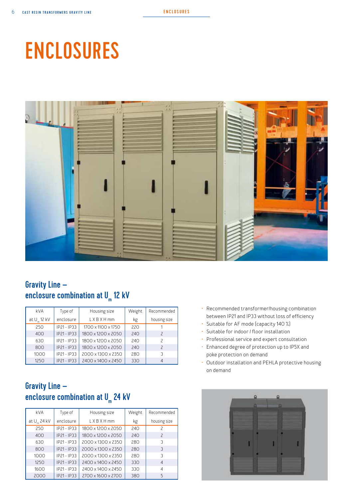# ENCLOSURES



# Gravity Line – enclosure combination at U m 12 kV

| kVA                     | Type of     | Housing size       | Weight | Recommended              |
|-------------------------|-------------|--------------------|--------|--------------------------|
| at U <sub>m</sub> 12 kV | enclosure   | <b>LXBXHmm</b>     | kg     | housing size             |
| 250                     | IP21 - IP33 | 1700 x 1100 x 1750 | 220    |                          |
| 400                     | IP21-IP33   | 1800 x 1200 x 2050 | 240    | $\overline{\phantom{0}}$ |
| 630                     | IP21-IP33   | 1800 x 1200 x 2050 | 240    | $\mathcal{P}$            |
| 800                     | IP21-IP33   | 1800 x 1200 x 2050 | 240    | $\overline{\phantom{0}}$ |
| 1000                    | IP21-IP33   | 2000 x 1300 x 2350 | 280    |                          |
| 1250                    | IP21 - IP33 | 2400 x 1400 x 2450 | 330    |                          |

## Gravity Line – enclosure combination at U m 24 kV

| <b>kVA</b>       | Type of       | Housing size       | Weight | Recommended              |
|------------------|---------------|--------------------|--------|--------------------------|
| at $U_{m}$ 24 kV | enclosure     | <b>LXBXHmm</b>     | kg     | housing size             |
| 250              | $IP21 - IP33$ | 1800 x 1200 x 2050 | 240    | 2                        |
| 400              | $IP21 - IP33$ | 1800 x 1200 x 2050 | 240    | $\overline{\phantom{0}}$ |
| 630              | $IP21 - IP33$ | 2000 x 1300 x 2350 | 280    | 3                        |
| 800              | $IP21 - IP33$ | 2000 x 1300 x 2350 | 280    | 3                        |
| 1000             | $IP21 - IP33$ | 2000 x 1300 x 2350 | 280    | 3                        |
| 1250             | IP21-IP33     | 2400 x 1400 x 2450 | 330    | 4                        |
| 1600             | IP21 - IP33   | 2400 x 1400 x 2450 | 330    | 4                        |
| 2000             | IP21-IP33     | 2700 x 1600 x 2700 | 380    | 5                        |

- Recommended transformer/housing combination between IP21 and IP33 without loss of efficiency
- Suitable for AF mode (capacity 140 %)
- Suitable for indoor / floor installation
- Professional service and expert consultation
- Enhanced degree of protection up to IP5X and poke protection on demand
- Outdoor installation and PEHLA protective housing on demand

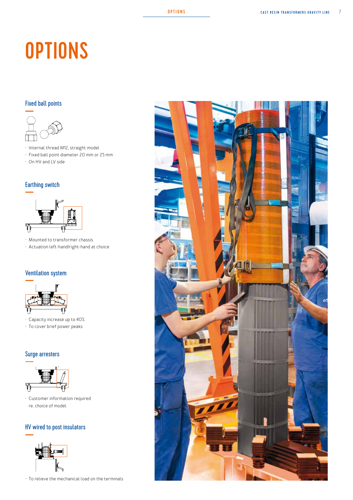# **OPTIONS**

## Fixed ball points



- Internal thread M12, straight model
- Fixed ball point diameter 20 mm or 25 mm
- On HV and LV side

#### Earthing switch



- Mounted to transformer chassis
- Actuation left-hand/right-hand at choice

#### Ventilation system



- Capacity increase up to 40%
- To cover brief power peaks

### Surge arresters



• Customer information required re. choice of model

## HV wired to post insulators



• To relieve the mechanical load on the terminals